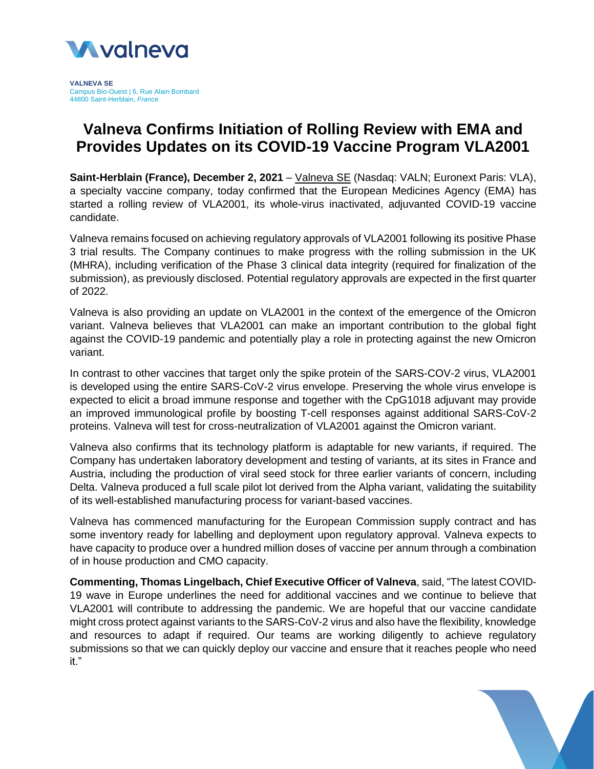

**VALNEVA SE** Campus Bio-Ouest | 6, Rue Alain Bombard 44800 Saint-Herblain, *France*

# **Valneva Confirms Initiation of Rolling Review with EMA and Provides Updates on its COVID-19 Vaccine Program VLA2001**

**Saint-Herblain (France), December 2, 2021** – [Valneva](http://www.valneva.com/) SE (Nasdaq: VALN; Euronext Paris: VLA), a specialty vaccine company, today confirmed that the European Medicines Agency (EMA) has started a rolling review of VLA2001, its whole-virus inactivated, adjuvanted COVID-19 vaccine candidate.

Valneva remains focused on achieving regulatory approvals of VLA2001 following its positive Phase 3 trial results. The Company continues to make progress with the rolling submission in the UK (MHRA), including verification of the Phase 3 clinical data integrity (required for finalization of the submission), as previously disclosed. Potential regulatory approvals are expected in the first quarter of 2022.

Valneva is also providing an update on VLA2001 in the context of the emergence of the Omicron variant. Valneva believes that VLA2001 can make an important contribution to the global fight against the COVID-19 pandemic and potentially play a role in protecting against the new Omicron variant.

In contrast to other vaccines that target only the spike protein of the SARS-COV-2 virus, VLA2001 is developed using the entire SARS-CoV-2 virus envelope. Preserving the whole virus envelope is expected to elicit a broad immune response and together with the CpG1018 adjuvant may provide an improved immunological profile by boosting T-cell responses against additional SARS-CoV-2 proteins. Valneva will test for cross-neutralization of VLA2001 against the Omicron variant.

Valneva also confirms that its technology platform is adaptable for new variants, if required. The Company has undertaken laboratory development and testing of variants, at its sites in France and Austria, including the production of viral seed stock for three earlier variants of concern, including Delta. Valneva produced a full scale pilot lot derived from the Alpha variant, validating the suitability of its well-established manufacturing process for variant-based vaccines.

Valneva has commenced manufacturing for the European Commission supply contract and has some inventory ready for labelling and deployment upon regulatory approval. Valneva expects to have capacity to produce over a hundred million doses of vaccine per annum through a combination of in house production and CMO capacity.

**Commenting, Thomas Lingelbach, Chief Executive Officer of Valneva**, said, "The latest COVID-19 wave in Europe underlines the need for additional vaccines and we continue to believe that VLA2001 will contribute to addressing the pandemic. We are hopeful that our vaccine candidate might cross protect against variants to the SARS-CoV-2 virus and also have the flexibility, knowledge and resources to adapt if required. Our teams are working diligently to achieve regulatory submissions so that we can quickly deploy our vaccine and ensure that it reaches people who need it."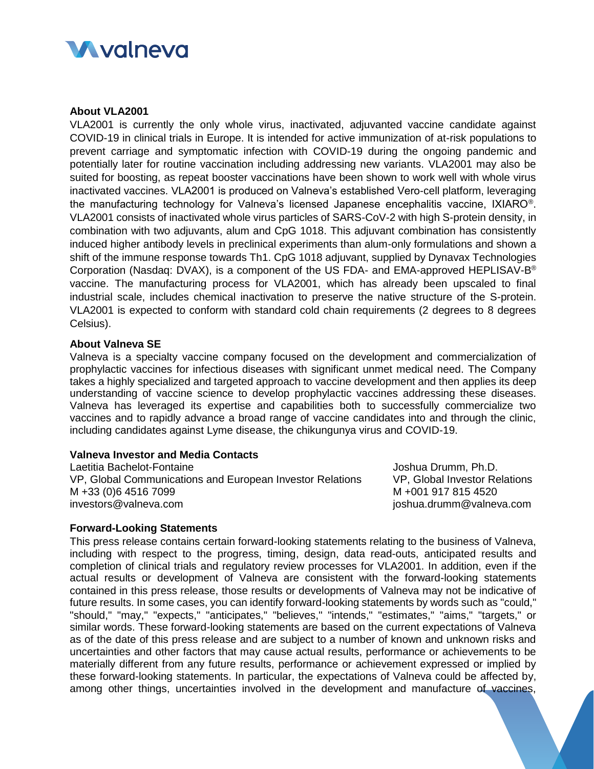

## **About VLA2001**

VLA2001 is currently the only whole virus, inactivated, adjuvanted vaccine candidate against COVID-19 in clinical trials in Europe. It is intended for active immunization of at-risk populations to prevent carriage and symptomatic infection with COVID-19 during the ongoing pandemic and potentially later for routine vaccination including addressing new variants. VLA2001 may also be suited for boosting, as repeat booster vaccinations have been shown to work well with whole virus inactivated vaccines. VLA2001 is produced on Valneva's established Vero-cell platform, leveraging the manufacturing technology for Valneva's licensed Japanese encephalitis vaccine, IXIARO®. VLA2001 consists of inactivated whole virus particles of SARS-CoV-2 with high S-protein density, in combination with two adjuvants, alum and CpG 1018. This adjuvant combination has consistently induced higher antibody levels in preclinical experiments than alum-only formulations and shown a shift of the immune response towards Th1. CpG 1018 adjuvant, supplied by Dynavax Technologies Corporation (Nasdaq: DVAX), is a component of the US FDA- and EMA-approved HEPLISAV-B ® vaccine. The manufacturing process for VLA2001, which has already been upscaled to final industrial scale, includes chemical inactivation to preserve the native structure of the S-protein. VLA2001 is expected to conform with standard cold chain requirements (2 degrees to 8 degrees Celsius).

## **About Valneva SE**

Valneva is a specialty vaccine company focused on the development and commercialization of prophylactic vaccines for infectious diseases with significant unmet medical need. The Company takes a highly specialized and targeted approach to vaccine development and then applies its deep understanding of vaccine science to develop prophylactic vaccines addressing these diseases. Valneva has leveraged its expertise and capabilities both to successfully commercialize two vaccines and to rapidly advance a broad range of vaccine candidates into and through the clinic, including candidates against Lyme disease, the chikungunya virus and COVID-19.

### **Valneva Investor and Media Contacts**

Laetitia Bachelot-Fontaine VP, Global Communications and European Investor Relations M +33 (0)6 4516 7099 investors@valneva.com

Joshua Drumm, Ph.D. VP, Global Investor Relations M +001 917 815 4520 joshua.drumm@valneva.com

#### **Forward-Looking Statements**

This press release contains certain forward-looking statements relating to the business of Valneva, including with respect to the progress, timing, design, data read-outs, anticipated results and completion of clinical trials and regulatory review processes for VLA2001. In addition, even if the actual results or development of Valneva are consistent with the forward-looking statements contained in this press release, those results or developments of Valneva may not be indicative of future results. In some cases, you can identify forward-looking statements by words such as "could," "should," "may," "expects," "anticipates," "believes," "intends," "estimates," "aims," "targets," or similar words. These forward-looking statements are based on the current expectations of Valneva as of the date of this press release and are subject to a number of known and unknown risks and uncertainties and other factors that may cause actual results, performance or achievements to be materially different from any future results, performance or achievement expressed or implied by these forward-looking statements. In particular, the expectations of Valneva could be affected by, among other things, uncertainties involved in the development and manufacture of vaccines,